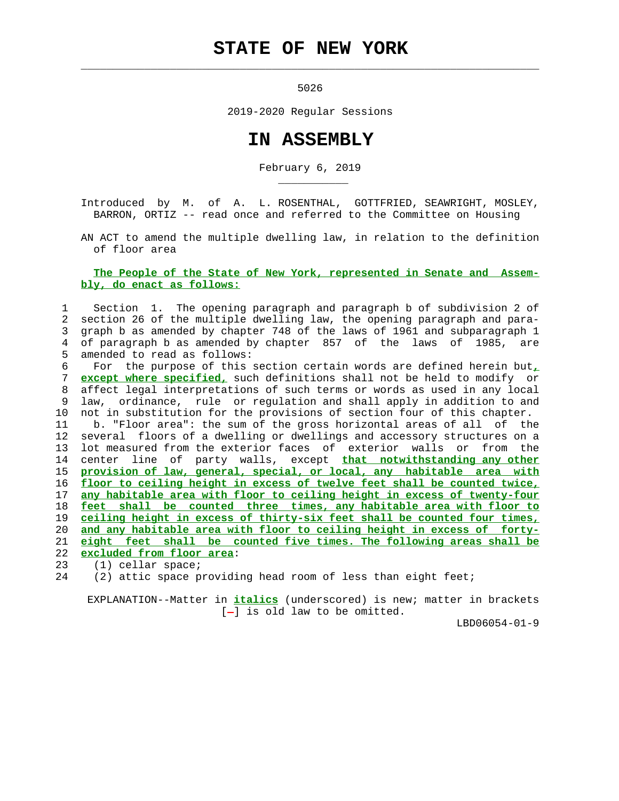# **STATE OF NEW YORK**

 $\mathcal{L}_\text{max} = \frac{1}{2} \sum_{i=1}^{n} \frac{1}{2} \sum_{i=1}^{n} \frac{1}{2} \sum_{i=1}^{n} \frac{1}{2} \sum_{i=1}^{n} \frac{1}{2} \sum_{i=1}^{n} \frac{1}{2} \sum_{i=1}^{n} \frac{1}{2} \sum_{i=1}^{n} \frac{1}{2} \sum_{i=1}^{n} \frac{1}{2} \sum_{i=1}^{n} \frac{1}{2} \sum_{i=1}^{n} \frac{1}{2} \sum_{i=1}^{n} \frac{1}{2} \sum_{i=1}^{n} \frac{1$ 

\_\_\_\_\_\_\_\_\_\_\_

5026

2019-2020 Regular Sessions

## **IN ASSEMBLY**

February 6, 2019

 Introduced by M. of A. L. ROSENTHAL, GOTTFRIED, SEAWRIGHT, MOSLEY, BARRON, ORTIZ -- read once and referred to the Committee on Housing

 AN ACT to amend the multiple dwelling law, in relation to the definition of floor area

#### **The People of the State of New York, represented in Senate and Assem bly, do enact as follows:**

### 1 Section 1. The opening paragraph and paragraph b of subdivision 2 of 2 section 26 of the multiple dwelling law, the opening paragraph and para- 3 graph b as amended by chapter 748 of the laws of 1961 and subparagraph 1 4 of paragraph b as amended by chapter 857 of the laws of 1985, are 5 amended to read as follows:

 6 For the purpose of this section certain words are defined herein but**,** 7 **except where specified,** such definitions shall not be held to modify or 8 affect legal interpretations of such terms or words as used in any local 9 law, ordinance, rule or regulation and shall apply in addition to and 10 not in substitution for the provisions of section four of this chapter. 11 b. "Floor area": the sum of the gross horizontal areas of all of the 12 several floors of a dwelling or dwellings and accessory structures on a 13 lot measured from the exterior faces of exterior walls or from the 14 center line of party walls, except **that notwithstanding any other** 15 **provision of law, general, special, or local, any habitable area with** 16 **floor to ceiling height in excess of twelve feet shall be counted twice,** 17 **any habitable area with floor to ceiling height in excess of twenty-four** 18 **feet shall be counted three times, any habitable area with floor to** 19 **ceiling height in excess of thirty-six feet shall be counted four times,** 20 **and any habitable area with floor to ceiling height in excess of forty-** 21 **eight feet shall be counted five times. The following areas shall be** 22 **excluded from floor area**:

23 (1) cellar space;

24 (2) attic space providing head room of less than eight feet;

 EXPLANATION--Matter in **italics** (underscored) is new; matter in brackets  $[-]$  is old law to be omitted.

LBD06054-01-9